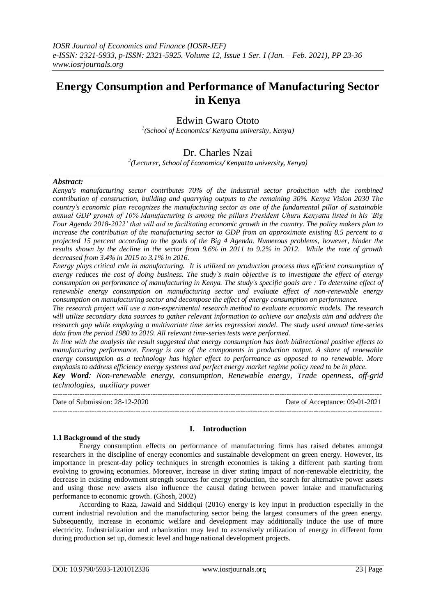# **Energy Consumption and Performance of Manufacturing Sector in Kenya**

Edwin Gwaro Ototo

*1 (School of Economics/ Kenyatta university, Kenya)* 

# Dr. Charles Nzai

*2 (Lecturer, School of Economics/ Kenyatta university, Kenya)*

# *Abstract:*

*Kenya's manufacturing sector contributes 70% of the industrial sector production with the combined contribution of construction, building and quarrying outputs to the remaining 30%. Kenya Vision 2030 The country's economic plan recognizes the manufacturing sector as one of the fundamental pillar of sustainable annual GDP growth of 10% Manufacturing is among the pillars President Uhuru Kenyatta listed in his 'Big Four Agenda 2018-2022' that will aid in facilitating economic growth in the country. The policy makers plan to increase the contribution of the manufacturing sector to GDP from an approximate existing 8.5 percent to a projected 15 percent according to the goals of the Big 4 Agenda. Numerous problems, however, hinder the results shown by the decline in the sector from 9.6% in 2011 to 9.2% in 2012. While the rate of growth decreased from 3.4% in 2015 to 3.1% in 2016.*

*Energy plays critical role in manufacturing. It is utilized on production process thus efficient consumption of energy reduces the cost of doing business. The study`s main objective is to investigate the effect of energy consumption on performance of manufacturing in Kenya. The study's specific goals are : To determine effect of renewable energy consumption on manufacturing sector and evaluate effect of non-renewable energy consumption on manufacturing sector and decompose the effect of energy consumption on performance.* 

*The research project will use a non-experimental research method to evaluate economic models. The research will utilize secondary data sources to gather relevant information to achieve our analysis aim and address the research gap while employing a multivariate time series regression model. The study used annual time-series data from the period 1980 to 2019. All relevant time-series tests were performed.* 

*In line with the analysis the result suggested that energy consumption has both bidirectional positive effects to manufacturing performance. Energy is one of the components in production output. A share of renewable energy consumption as a technology has higher effect to performance as opposed to no renewable. More emphasis to address efficiency energy systems and perfect energy market regime policy need to be in place.*

*Key Word: Non-renewable energy, consumption, Renewable energy, Trade openness, off-grid technologies, auxiliary power*

| Date of Submission: 28-12-2020 | Date of Acceptance: 09-01-2021 |
|--------------------------------|--------------------------------|
|                                |                                |

# **I. Introduction**

# **1.1 Background of the study**

Energy consumption effects on performance of manufacturing firms has raised debates amongst researchers in the discipline of energy economics and sustainable development on green energy. However, its importance in present-day policy techniques in strength economies is taking a different path starting from evolving to growing economies. Moreover, increase in diver stating impact of non-renewable electricity, the decrease in existing endowment strength sources for energy production, the search for alternative power assets and using those new assets also influence the causal dating between power intake and manufacturing performance to economic growth. (Ghosh, 2002)

According to Raza, Jawaid and Siddiqui (2016) energy is key input in production especially in the current industrial revolution and the manufacturing sector being the largest consumers of the green energy. Subsequently, increase in economic welfare and development may additionally induce the use of more electricity. Industrialization and urbanization may lead to extensively utilization of energy in different form during production set up, domestic level and huge national development projects.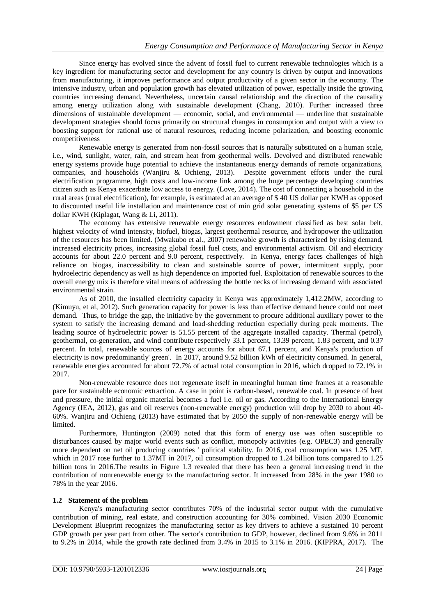Since energy has evolved since the advent of fossil fuel to current renewable technologies which is a key ingredient for manufacturing sector and development for any country is driven by output and innovations from manufacturing, it improves performance and output productivity of a given sector in the economy. The intensive industry, urban and population growth has elevated utilization of power, especially inside the growing countries increasing demand. Nevertheless, uncertain causal relationship and the direction of the causality among energy utilization along with sustainable development (Chang, 2010). Further increased three dimensions of sustainable development — economic, social, and environmental — underline that sustainable development strategies should focus primarily on structural changes in consumption and output with a view to boosting support for rational use of natural resources, reducing income polarization, and boosting economic competitiveness

Renewable energy is generated from non-fossil sources that is naturally substituted on a human scale, i.e., wind, sunlight, water, rain, and stream heat from geothermal wells. Devolved and distributed renewable energy systems provide huge potential to achieve the instantaneous energy demands of remote organizations, companies, and households (Wanjiru & Ochieng, 2013). Despite government efforts under the rural electrification programme, high costs and low-income link among the huge percentage developing countries citizen such as Kenya exacerbate low access to energy. (Love, 2014). The cost of connecting a household in the rural areas (rural electrification), for example, is estimated at an average of \$ 40 US dollar per KWH as opposed to discounted useful life installation and maintenance cost of min grid solar generating systems of \$5 per US dollar KWH (Kiplagat, Wang & Li, 2011).

The economy has extensive renewable energy resources endowment classified as best solar belt, highest velocity of wind intensity, biofuel, biogas, largest geothermal resource, and hydropower the utilization of the resources has been limited. (Mwakubo et al., 2007) renewable growth is characterized by rising demand, increased electricity prices, increasing global fossil fuel costs, and environmental activism. Oil and electricity accounts for about 22.0 percent and 9.0 percent, respectively. In Kenya, energy faces challenges of high reliance on biogas, inaccessibility to clean and sustainable source of power, intermittent supply, poor hydroelectric dependency as well as high dependence on imported fuel. Exploitation of renewable sources to the overall energy mix is therefore vital means of addressing the bottle necks of increasing demand with associated environmental strain.

As of 2010, the installed electricity capacity in Kenya was approximately 1,412.2MW, according to (Kimuyu, et al, 2012). Such generation capacity for power is less than effective demand hence could not meet demand. Thus, to bridge the gap, the initiative by the government to procure additional auxiliary power to the system to satisfy the increasing demand and load-shedding reduction especially during peak moments. The leading source of hydroelectric power is 51.55 percent of the aggregate installed capacity. Thermal (petrol), geothermal, co-generation, and wind contribute respectively 33.1 percent, 13.39 percent, 1.83 percent, and 0.37 percent. In total, renewable sources of energy accounts for about 67.1 percent, and Kenya's production of electricity is now predominantly' green'. In 2017, around 9.52 billion kWh of electricity consumed. In general, renewable energies accounted for about 72.7% of actual total consumption in 2016, which dropped to 72.1% in 2017.

Non-renewable resource does not regenerate itself in meaningful human time frames at a reasonable pace for sustainable economic extraction. A case in point is carbon-based, renewable coal. In presence of heat and pressure, the initial organic material becomes a fuel i.e. oil or gas. According to the International Energy Agency (IEA, 2012), gas and oil reserves (non-renewable energy) production will drop by 2030 to about 40- 60%. Wanjiru and Ochieng (2013) have estimated that by 2050 the supply of non-renewable energy will be limited.

Furthermore, Huntington (2009) noted that this form of energy use was often susceptible to disturbances caused by major world events such as conflict, monopoly activities (e.g. OPEC3) and generally more dependent on net oil producing countries ' political stability. In 2016, coal consumption was 1.25 MT, which in 2017 rose further to 1.37MT in 2017, oil consumption dropped to 1.24 billion tons compared to 1.25 billion tons in 2016.The results in Figure 1.3 revealed that there has been a general increasing trend in the contribution of nonrenewable energy to the manufacturing sector. It increased from 28% in the year 1980 to 78% in the year 2016.

# **1.2 Statement of the problem**

Kenya's manufacturing sector contributes 70% of the industrial sector output with the cumulative contribution of mining, real estate, and construction accounting for 30% combined. Vision 2030 Economic Development Blueprint recognizes the manufacturing sector as key drivers to achieve a sustained 10 percent GDP growth per year part from other. The sector's contribution to GDP, however, declined from 9.6% in 2011 to 9.2% in 2014, while the growth rate declined from 3.4% in 2015 to 3.1% in 2016. (KIPPRA, 2017). The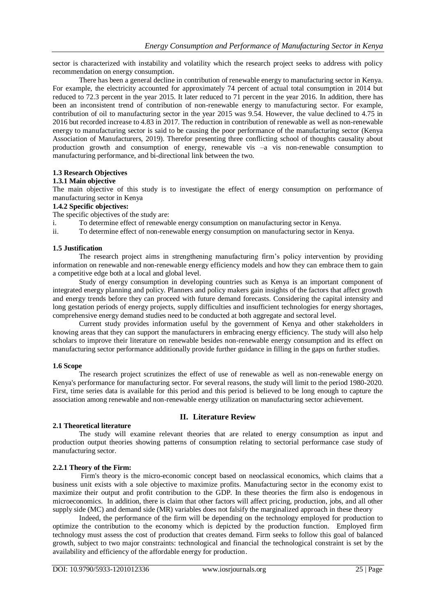sector is characterized with instability and volatility which the research project seeks to address with policy recommendation on energy consumption.

There has been a general decline in contribution of renewable energy to manufacturing sector in Kenya. For example, the electricity accounted for approximately 74 percent of actual total consumption in 2014 but reduced to 72.3 percent in the year 2015. It later reduced to 71 percent in the year 2016. In addition, there has been an inconsistent trend of contribution of non-renewable energy to manufacturing sector. For example, contribution of oil to manufacturing sector in the year 2015 was 9.54. However, the value declined to 4.75 in 2016 but recorded increase to 4.83 in 2017. The reduction in contribution of renewable as well as non-renewable energy to manufacturing sector is said to be causing the poor performance of the manufacturing sector (Kenya Association of Manufacturers, 2019). Therefor presenting three conflicting school of thoughts causality about production growth and consumption of energy, renewable vis –a vis non-renewable consumption to manufacturing performance, and bi-directional link between the two.

# **1.3 Research Objectives**

# **1.3.1 Main objective**

The main objective of this study is to investigate the effect of energy consumption on performance of manufacturing sector in Kenya

# **1.4.2 Specific objectives:**

The specific objectives of the study are:

i. To determine effect of renewable energy consumption on manufacturing sector in Kenya.

ii. To determine effect of non-renewable energy consumption on manufacturing sector in Kenya.

## **1.5 Justification**

The research project aims in strengthening manufacturing firm's policy intervention by providing information on renewable and non-renewable energy efficiency models and how they can embrace them to gain a competitive edge both at a local and global level.

Study of energy consumption in developing countries such as Kenya is an important component of integrated energy planning and policy. Planners and policy makers gain insights of the factors that affect growth and energy trends before they can proceed with future demand forecasts. Considering the capital intensity and long gestation periods of energy projects, supply difficulties and insufficient technologies for energy shortages, comprehensive energy demand studies need to be conducted at both aggregate and sectoral level.

Current study provides information useful by the government of Kenya and other stakeholders in knowing areas that they can support the manufacturers in embracing energy efficiency. The study will also help scholars to improve their literature on renewable besides non-renewable energy consumption and its effect on manufacturing sector performance additionally provide further guidance in filling in the gaps on further studies.

## **1.6 Scope**

The research project scrutinizes the effect of use of renewable as well as non-renewable energy on Kenya's performance for manufacturing sector. For several reasons, the study will limit to the period 1980-2020. First, time series data is available for this period and this period is believed to be long enough to capture the association among renewable and non-renewable energy utilization on manufacturing sector achievement.

# **II. Literature Review**

## **2.1 Theoretical literature**

The study will examine relevant theories that are related to energy consumption as input and production output theories showing patterns of consumption relating to sectorial performance case study of manufacturing sector.

## **2.2.1 Theory of the Firm:**

Firm's theory is the micro-economic concept based on neoclassical economics, which claims that a business unit exists with a sole objective to maximize profits. Manufacturing sector in the economy exist to maximize their output and profit contribution to the GDP. In these theories the firm also is endogenous in microeconomics. In addition, there is claim that other factors will affect pricing, production, jobs, and all other supply side (MC) and demand side (MR) variables does not falsify the marginalized approach in these theory

Indeed, the performance of the firm will be depending on the technology employed for production to optimize the contribution to the economy which is depicted by the production function. Employed firm technology must assess the cost of production that creates demand. Firm seeks to follow this goal of balanced growth, subject to two major constraints: technological and financial the technological constraint is set by the availability and efficiency of the affordable energy for production.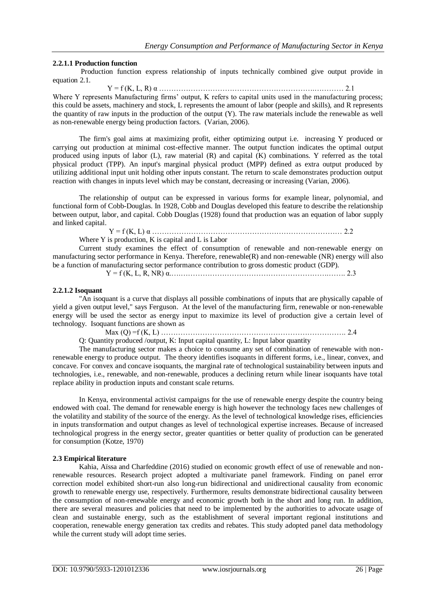# **2.2.1.1 Production function**

Production function express relationship of inputs technically combined give output provide in equation 2.1.

Y = f (K, L, R) α ……………………………………………………….………… 2.1

Where Y represents Manufacturing firms' output, K refers to capital units used in the manufacturing process; this could be assets, machinery and stock, L represents the amount of labor (people and skills), and R represents the quantity of raw inputs in the production of the output (Y). The raw materials include the renewable as well as non-renewable energy being production factors. (Varian, 2006).

The firm's goal aims at maximizing profit, either optimizing output i.e. increasing Y produced or carrying out production at minimal cost-effective manner. The output function indicates the optimal output produced using inputs of labor (L), raw material (R) and capital (K) combinations. Y referred as the total physical product (TPP). An input's marginal physical product (MPP) defined as extra output produced by utilizing additional input unit holding other inputs constant. The return to scale demonstrates production output reaction with changes in inputs level which may be constant, decreasing or increasing (Varian, 2006).

The relationship of output can be expressed in various forms for example linear, polynomial, and functional form of Cobb-Douglas. In 1928, Cobb and Douglas developed this feature to describe the relationship between output, labor, and capital. Cobb Douglas (1928) found that production was an equation of labor supply and linked capital.

Y = f (K, L) α …………………………………………………………………… 2.2

Where Y is production, K is capital and L is Labor

Current study examines the effect of consumption of renewable and non-renewable energy on manufacturing sector performance in Kenya. Therefore, renewable(R) and non-renewable (NR) energy will also be a function of manufacturing sector performance contribution to gross domestic product (GDP).

Y = f (K, L, R, NR) α.….…………………………………………………….……. 2.3

# **2.2.1.2 Isoquant**

"An isoquant is a curve that displays all possible combinations of inputs that are physically capable of yield a given output level," says Ferguson. At the level of the manufacturing firm, renewable or non-renewable energy will be used the sector as energy input to maximize its level of production give a certain level of technology. Isoquant functions are shown as

Max (Q) =f (K, L) …………………………………………………………………. 2.4

Q: Quantity produced /output, K: Input capital quantity, L: Input labor quantity

The manufacturing sector makes a choice to consume any set of combination of renewable with nonrenewable energy to produce output. The theory identifies isoquants in different forms, i.e., linear, convex, and concave. For convex and concave isoquants, the marginal rate of technological sustainability between inputs and technologies, i.e., renewable, and non-renewable, produces a declining return while linear isoquants have total replace ability in production inputs and constant scale returns.

In Kenya, environmental activist campaigns for the use of renewable energy despite the country being endowed with coal. The demand for renewable energy is high however the technology faces new challenges of the volatility and stability of the source of the energy. As the level of technological knowledge rises, efficiencies in inputs transformation and output changes as level of technological expertise increases. Because of increased technological progress in the energy sector, greater quantities or better quality of production can be generated for consumption (Kotze, 1970)

# **2.3 Empirical literature**

Kahia, Aïssa and Charfeddine (2016) studied on economic growth effect of use of renewable and nonrenewable resources. Research project adopted a multivariate panel framework. Finding on panel error correction model exhibited short-run also long-run bidirectional and unidirectional causality from economic growth to renewable energy use, respectively. Furthermore, results demonstrate bidirectional causality between the consumption of non-renewable energy and economic growth both in the short and long run. In addition, there are several measures and policies that need to be implemented by the authorities to advocate usage of clean and sustainable energy, such as the establishment of several important regional institutions and cooperation, renewable energy generation tax credits and rebates. This study adopted panel data methodology while the current study will adopt time series.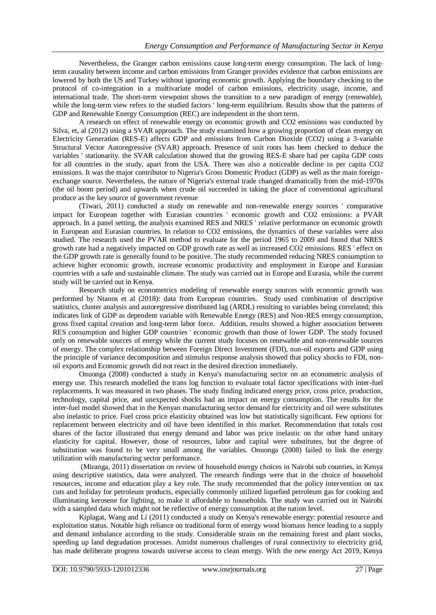Nevertheless, the Granger carbon emissions cause long-term energy consumption. The lack of longterm causality between income and carbon emissions from Granger provides evidence that carbon emissions are lowered by both the US and Turkey without ignoring economic growth. Applying the boundary checking to the protocol of co-integration in a multivariate model of carbon emissions, electricity usage, income, and international trade. The short-term viewpoint shows the transition to a new paradigm of energy (renewable), while the long-term view refers to the studied factors ' long-term equilibrium. Results show that the patterns of GDP and Renewable Energy Consumption (REC) are independent in the short term.

A research on effect of renewable energy on economic growth and CO2 emissions was conducted by Silva, et, al (2012) using a SVAR approach. The study examined how a growing proportion of clean energy on Electricity Generation (RES-E) affects GDP and emissions from Carbon Dioxide (CO2) using a 3-variable Structural Vector Autoregressive (SVAR) approach. Presence of unit roots has been checked to deduce the variables ' stationarity. the SVAR calculation showed that the growing RES-E share had per capita GDP costs for all countries in the study, apart from the USA. There was also a noticeable decline in per capita CO2 emissions. It was the major contributor to Nigeria's Gross Domestic Product (GDP) as well as the main foreignexchange source. Nevertheless, the nature of Nigeria's external trade changed dramatically from the mid-1970s (the oil boom period) and upwards when crude oil succeeded in taking the place of conventional agricultural produce as the key source of government revenue

(Tiwari, 2011) conducted a study on renewable and non-renewable energy sources ' comparative impact for European together with Eurasian countries ' economic growth and CO2 emissions: a PVAR approach. In a panel setting, the analysis examined RES and NRES ' relative performance on economic growth in European and Eurasian countries. In relation to CO2 emissions, the dynamics of these variables were also studied. The research used the PVAR method to evaluate for the period 1965 to 2009 and found that NRES growth rate had a negatively impacted on GDP growth rate as well as increased CO2 emissions. RES ' effect on the GDP growth rate is generally found to be positive. The study recommended reducing NRES consumption to achieve higher economic growth, increase economic productivity and employment in Europe and Eurasian countries with a safe and sustainable climate. The study was carried out in Europe and Eurasia, while the current study will be carried out in Kenya.

Research study on econometrics modeling of renewable energy sources with economic growth was performed by Ntanos et al (2018): data from European countries. Study used combination of descriptive statistics, cluster analysis and autoregressive distributed lag (ARDL) resulting to variables being correlated; this indicates link of GDP as dependent variable with Renewable Energy (RES) and Non-RES energy consumption, gross fixed capital creation and long-term labor force. Addition, results showed a higher association between RES consumption and higher GDP countries ' economic growth than those of lower GDP. The study focused only on renewable sources of energy while the current study focuses on renewable and non-renewable sources of energy. The complex relationship between Foreign Direct Investment (FDI), non-oil exports and GDP using the principle of variance decomposition and stimulus response analysis showed that policy shocks to FDI, nonoil exports and Economic growth did not react in the desired direction immediately.

Onuonga (2008) conducted a study in Kenya's manufacturing sector on an econometric analysis of energy use. This research modelled the trans log function to evaluate total factor specifications with inter-fuel replacements. It was measured in two phases. The study finding indicated energy price, cross price, production, technology, capital price, and unexpected shocks had an impact on energy consumption. The results for the inter-fuel model showed that in the Kenyan manufacturing sector demand for electricity and oil were substitutes also inelastic to price. Fuel cross price elasticity obtained was low but statistically significant. Few options for replacement between electricity and oil have been identified in this market. Recommendation that totals cost shares of the factor illustrated that energy demand and labor was price inelastic on the other hand unitary elasticity for capital. However, those of resources, labor and capital were substitutes, but the degree of substitution was found to be very small among the variables. Onuonga (2008) failed to link the energy utilization with manufacturing sector performance.

(Miranga, 2011) dissertation on review of household energy choices in Nairobi sub counties, in Kenya using descriptive statistics, data were analyzed. The research findings were that in the choice of household resources, income and education play a key role. The study recommended that the policy intervention on tax cuts and holiday for petroleum products, especially commonly utilized liquefied petroleum gas for cooking and illuminating kerosene for lighting, to make it affordable to households. The study was carried out in Nairobi with a sampled data which might not be reflective of energy consumption at the nation level.

Kiplagat, Wang and Li (2011) conducted a study on Kenya's renewable energy: potential resource and exploitation status. Notable high reliance on traditional form of energy wood biomass hence leading to a supply and demand imbalance according to the study. Considerable strain on the remaining forest and plant stocks, speeding up land degradation processes. Amidst numerous challenges of rural connectivity to electricity grid, has made deliberate progress towards universe access to clean energy. With the new energy Act 2019, Kenya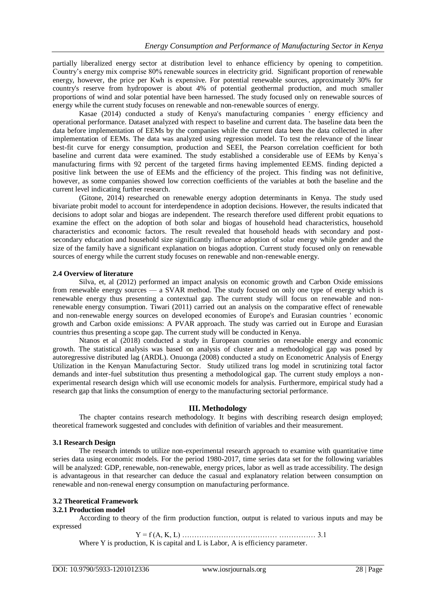partially liberalized energy sector at distribution level to enhance efficiency by opening to competition. Country's energy mix comprise 80% renewable sources in electricity grid. Significant proportion of renewable energy, however, the price per Kwh is expensive. For potential renewable sources, approximately 30% for country's reserve from hydropower is about 4% of potential geothermal production, and much smaller proportions of wind and solar potential have been harnessed. The study focused only on renewable sources of energy while the current study focuses on renewable and non-renewable sources of energy.

Kasae (2014) conducted a study of Kenya's manufacturing companies ' energy efficiency and operational performance. Dataset analyzed with respect to baseline and current data. The baseline data been the data before implementation of EEMs by the companies while the current data been the data collected in after implementation of EEMs. The data was analyzed using regression model. To test the relevance of the linear best-fit curve for energy consumption, production and SEEI, the Pearson correlation coefficient for both baseline and current data were examined. The study established a considerable use of EEMs by Kenya`s manufacturing firms with 92 percent of the targeted firms having implemented EEMS. finding depicted a positive link between the use of EEMs and the efficiency of the project. This finding was not definitive, however, as some companies showed low correction coefficients of the variables at both the baseline and the current level indicating further research.

(Gitone, 2014) researched on renewable energy adoption determinants in Kenya. The study used bivariate probit model to account for interdependence in adoption decisions. However, the results indicated that decisions to adopt solar and biogas are independent. The research therefore used different probit equations to examine the effect on the adoption of both solar and biogas of household head characteristics, household characteristics and economic factors. The result revealed that household heads with secondary and postsecondary education and household size significantly influence adoption of solar energy while gender and the size of the family have a significant explanation on biogas adoption. Current study focused only on renewable sources of energy while the current study focuses on renewable and non-renewable energy.

# **2.4 Overview of literature**

Silva, et, al (2012) performed an impact analysis on economic growth and Carbon Oxide emissions from renewable energy sources — a SVAR method. The study focused on only one type of energy which is renewable energy thus presenting a contextual gap. The current study will focus on renewable and nonrenewable energy consumption. Tiwari (2011) carried out an analysis on the comparative effect of renewable and non-renewable energy sources on developed economies of Europe's and Eurasian countries ' economic growth and Carbon oxide emissions: A PVAR approach. The study was carried out in Europe and Eurasian countries thus presenting a scope gap. The current study will be conducted in Kenya.

Ntanos et al (2018) conducted a study in European countries on renewable energy and economic growth. The statistical analysis was based on analysis of cluster and a methodological gap was posed by autoregressive distributed lag (ARDL). Onuonga (2008) conducted a study on Econometric Analysis of Energy Utilization in the Kenyan Manufacturing Sector. Study utilized trans log model in scrutinizing total factor demands and inter-fuel substitution thus presenting a methodological gap. The current study employs a nonexperimental research design which will use economic models for analysis. Furthermore, empirical study had a research gap that links the consumption of energy to the manufacturing sectorial performance.

# **III. Methodology**

The chapter contains research methodology. It begins with describing research design employed; theoretical framework suggested and concludes with definition of variables and their measurement.

#### **3.1 Research Design**

The research intends to utilize non-experimental research approach to examine with quantitative time series data using economic models. For the period 1980-2017, time series data set for the following variables will be analyzed: GDP, renewable, non-renewable, energy prices, labor as well as trade accessibility. The design is advantageous in that researcher can deduce the casual and explanatory relation between consumption on renewable and non-renewal energy consumption on manufacturing performance.

## **3.2 Theoretical Framework**

**3.2.1 Production model**

According to theory of the firm production function, output is related to various inputs and may be expressed

Y = f (A, K, L) ………………………………… …………… 3.1

Where Y is production, K is capital and L is Labor, A is efficiency parameter.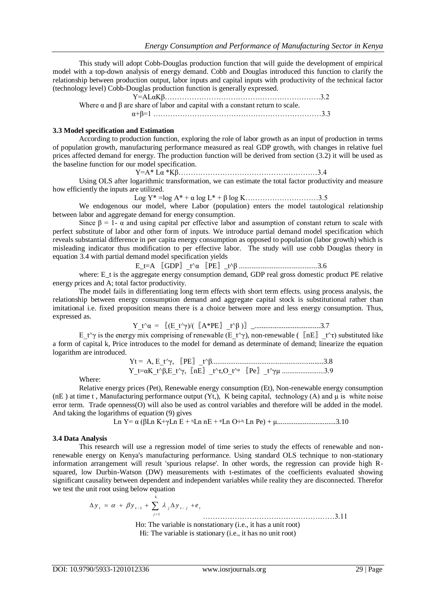This study will adopt Cobb-Douglas production function that will guide the development of empirical model with a top-down analysis of energy demand. Cobb and Douglas introduced this function to clarify the relationship between production output, labor inputs and capital inputs with productivity of the technical factor (technology level) Cobb-Douglas production function is generally expressed.

Y=ALαKβ……………………………………………………….3.2 Where  $\alpha$  and  $\beta$  are share of labor and capital with a constant return to scale. α+β=1 ……………………………………………………………3.3

#### **3.3 Model specification and Estimation**

According to production function, exploring the role of labor growth as an input of production in terms of population growth, manufacturing performance measured as real GDP growth, with changes in relative fuel prices affected demand for energy. The production function will be derived from section (3.2) it will be used as the baseline function for our model specification.

Y=A\* Lα \*Kβ…………………………………………………3.4

Using OLS after logarithmic transformation, we can estimate the total factor productivity and measure how efficiently the inputs are utilized.

Log Y\* =log A\* + α log L\* + β log K…………………………3.5

We endogenous our model, where Labor (population) enters the model tautological relationship between labor and aggregate demand for energy consumption.

Since  $\beta = 1$ -  $\alpha$  and using capital per effective labor and assumption of constant return to scale with perfect substitute of labor and other form of inputs. We introduce partial demand model specification which reveals substantial difference in per capita energy consumption as opposed to population (labor growth) which is misleading indicator thus modification to per effective labor. The study will use cobb Douglas theory in equation 3.4 with partial demand model specification yields

$$
\text{E\_t=A} \quad \text{[GDP]} \quad \text{t'}\alpha \quad \text{[PE]} \quad \text{t'}\beta \quad \text{........}
$$

where: E\_t is the aggregate energy consumption demand, GDP real gross domestic product PE relative energy prices and A; total factor productivity.

The model fails in differentiating long term effects with short term effects. using process analysis, the relationship between energy consumption demand and aggregate capital stock is substitutional rather than imitational i.e. fixed proposition means there is a choice between more and less energy consumption. Thus, expressed as.

Y\_t^α = 〖(E\_t^γ)/(〖A\*PE〗\_t^β )〗\_....................................3.7

E  $t^{\gamma}$  is the energy mix comprising of renewable (E  $t^{\gamma}$ ), non-renewable ( $\lbrack$  nE $\rbrack$   $t^{\gamma}$ ) substituted like a form of capital k, Price introduces to the model for demand as determinate of demand; linearize the equation logarithm are introduced.

> Yt = A, E\_t^γ, 〖PE〗\_t^β.............................................................3.8 Y\_t=αK\_t^β,E\_t^γ,  $[nE]$ \_t^τ,O\_t^®  $[Pe]$ \_t^γµ .......................3.9

Where:

Relative energy prices (Pet), Renewable energy consumption (Et), Non-renewable energy consumption (nE) at time t, Manufacturing performance output (Yt,), K being capital, technology (A) and  $\mu$  is white noise error term. Trade openness(O) will also be used as control variables and therefore will be added in the model. And taking the logarithms of equation (9) gives

Ln Y=  $\alpha$  (βLn K+γLn E + <sup>η</sup>Ln nE + <sup>φ</sup>Ln O+<sup>η</sup> Ln Pe) + μ..............................3.10

#### **3.4 Data Analysis**

This research will use a regression model of time series to study the effects of renewable and nonrenewable energy on Kenya's manufacturing performance. Using standard OLS technique to non-stationary information arrangement will result 'spurious relapse'. In other words, the regression can provide high Rsquared, low Durbin-Watson (DW) measurements with t-estimates of the coefficients evaluated showing significant causality between dependent and independent variables while reality they are disconnected. Therefor we test the unit root using below equation

$$
\Delta y_{t} = \alpha + \beta y_{t-1} + \sum_{j=1}^{k} \lambda_{j} \Delta y_{t-j} + e_{t}
$$
.................3.11

Ho: The variable is nonstationary (i.e., it has a unit root) Hi: The variable is stationary (i.e., it has no unit root)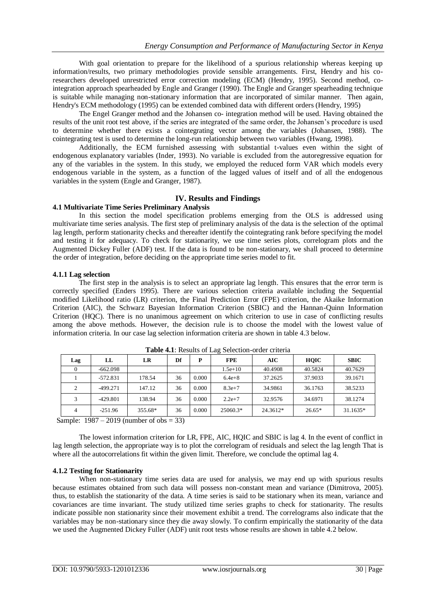With goal orientation to prepare for the likelihood of a spurious relationship whereas keeping up information/results, two primary methodologies provide sensible arrangements. First, Hendry and his coresearchers developed unrestricted error correction modeling (ECM) (Hendry, 1995). Second method, cointegration approach spearheaded by Engle and Granger (1990). The Engle and Granger spearheading technique is suitable while managing non-stationary information that are incorporated of similar manner. Then again, Hendry's ECM methodology (1995) can be extended combined data with different orders (Hendry, 1995)

The Engel Granger method and the Johansen co- integration method will be used. Having obtained the results of the unit root test above, if the series are integrated of the same order, the Johansen's procedure is used to determine whether there exists a cointegrating vector among the variables (Johansen, 1988). The cointegrating test is used to determine the long-run relationship between two variables (Hwang, 1998).

Additionally, the ECM furnished assessing with substantial t-values even within the sight of endogenous explanatory variables (Inder, 1993). No variable is excluded from the autoregressive equation for any of the variables in the system. In this study, we employed the reduced form VAR which models every endogenous variable in the system, as a function of the lagged values of itself and of all the endogenous variables in the system (Engle and Granger, 1987).

# **IV. Results and Findings**

## **4.1 Multivariate Time Series Preliminary Analysis**

In this section the model specification problems emerging from the OLS is addressed using multivariate time series analysis. The first step of preliminary analysis of the data is the selection of the optimal lag length, perform stationarity checks and thereafter identify the cointegrating rank before specifying the model and testing it for adequacy. To check for stationarity, we use time series plots, correlogram plots and the Augmented Dickey Fuller (ADF) test. If the data is found to be non-stationary, we shall proceed to determine the order of integration, before deciding on the appropriate time series model to fit.

#### **4.1.1 Lag selection**

The first step in the analysis is to select an appropriate lag length. This ensures that the error term is correctly specified (Enders 1995). There are various selection criteria available including the Sequential modified Likelihood ratio (LR) criterion, the Final Prediction Error (FPE) criterion, the Akaike Information Criterion (AIC), the Schwarz Bayesian Information Criterion (SBIC) and the Hannan-Quinn Information Criterion (HQC). There is no unanimous agreement on which criterion to use in case of conflicting results among the above methods. However, the decision rule is to choose the model with the lowest value of information criteria. In our case lag selection information criteria are shown in table 4.3 below.

|     |             |         |         |       | ັ          |          |             |             |
|-----|-------------|---------|---------|-------|------------|----------|-------------|-------------|
| Lag | LL          | LR      | Df      | P     | <b>FPE</b> | AIC      | <b>HOIC</b> | <b>SBIC</b> |
|     | $-662.098$  |         |         |       | $1.5e+10$  | 40.4908  | 40.5824     | 40.7629     |
|     | $-572.831$  | 178.54  | 36      | 0.000 | $6.4e + 8$ | 37.2625  | 37.9033     | 39.1671     |
| 2   | $-499.271$  | 147.12  | 36      | 0.000 | $8.3e+7$   | 34.9861  | 36.1763     | 38.5233     |
|     | $-429.801$  | 138.94  | 36      | 0.000 | $2.2e+7$   | 32.9576  | 34.6971     | 38.1274     |
| 4   | $-251.96$   | 355.68* | 36      | 0.000 | 25060.3*   | 24.3612* | $26.65*$    | $31.1635*$  |
|     | $\sim$ $ -$ |         | - - - - |       |            |          |             |             |

**Table 4.1**: Results of Lag Selection-order criteria

Sample:  $1987 - 2019$  (number of obs = 33)

The lowest information criterion for LR, FPE, AIC, HQIC and SBIC is lag 4. In the event of conflict in lag length selection, the appropriate way is to plot the correlogram of residuals and select the lag length That is where all the autocorrelations fit within the given limit. Therefore, we conclude the optimal lag 4.

## **4.1.2 Testing for Stationarity**

When non-stationary time series data are used for analysis, we may end up with spurious results because estimates obtained from such data will possess non-constant mean and variance (Dimitrova, 2005). thus, to establish the stationarity of the data. A time series is said to be stationary when its mean, variance and covariances are time invariant. The study utilized time series graphs to check for stationarity. The results indicate possible non stationarity since their movement exhibit a trend. The correlograms also indicate that the variables may be non-stationary since they die away slowly. To confirm empirically the stationarity of the data we used the Augmented Dickey Fuller (ADF) unit root tests whose results are shown in table 4.2 below.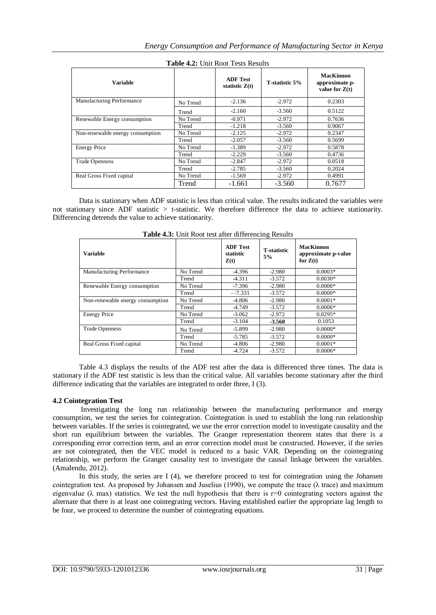| <b>Variable</b>                  |          | <b>ADF Test</b><br>statistic $Z(t)$ | T-statistic 5% | <b>MacKinnon</b><br>approximate p-<br>value for $Z(t)$ |
|----------------------------------|----------|-------------------------------------|----------------|--------------------------------------------------------|
| Manufacturing Performance        | No Trend | $-2.136$                            | $-2.972$       | 0.2303                                                 |
|                                  | Trend    | $-2.160$                            | $-3.560$       | 0.5122                                                 |
| Renewable Energy consumption     | No Trend | $-0.971$                            | $-2.972$       | 0.7636                                                 |
|                                  | Trend    | $-1.218$                            | $-3.560$       | 0.9067                                                 |
| Non-renewable energy consumption | No Trend | $-2.125$                            | $-2.972$       | 0.2347                                                 |
|                                  | Trend    | $-2.057$                            | $-3.560$       | 0.5699                                                 |
| <b>Energy Price</b>              | No Trend | $-1.389$                            | $-2.972$       | 0.5878                                                 |
|                                  | Trend    | $-2.229$                            | $-3.560$       | 0.4736                                                 |
| <b>Trade Openness</b>            | No Trend | $-2.847$                            | $-2.972$       | 0.0518                                                 |
|                                  | Trend    | $-2.785$                            | $-3.560$       | 0.2024                                                 |
| Real Gross Fixed capital         | No Trend | $-1.569$                            | $-2.972$       | 0.4991                                                 |
|                                  | Trend    | $-1.661$                            | $-3.560$       | 0.7677                                                 |

**Table 4.2:** Unit Root Tests Results

Data is stationary when ADF statistic is less than critical value. The results indicated the variables were not stationary since ADF statistic > t-statistic. We therefore difference the data to achieve stationarity. Differencing detrends the value to achieve stationarity.

| <b>Variable</b>                  |          | <b>ADF Test</b><br>statistic<br>Z(t) | <b>T-statistic</b><br>5% | <b>MacKinnon</b><br>approximate p-value<br>for $Z(t)$ |
|----------------------------------|----------|--------------------------------------|--------------------------|-------------------------------------------------------|
| Manufacturing Performance        | No Trend | $-4.396$                             | $-2.980$                 | $0.0003*$                                             |
|                                  | Trend    | $-4.311$                             | $-3.572$                 | $0.0030*$                                             |
| Renewable Energy consumption     | No Trend | -7.396                               | $-2.980$                 | $0.0000*$                                             |
|                                  | Trend    | $-7.331$                             | $-3.572$                 | $0.0000*$                                             |
| Non-renewable energy consumption | No Trend | $-4.806$                             | $-2.980$                 | $0.0001*$                                             |
|                                  | Trend    | $-4.749$                             | $-3.572$                 | $0.0006*$                                             |
| <b>Energy Price</b>              | No Trend | $-3.062$                             | $-2.972$                 | $0.0295*$                                             |
|                                  | Trend    | $-3.104$                             | $-3.560$                 | 0.1053                                                |
| <b>Trade Openness</b>            | No Trend | $-5.899$                             | $-2.980$                 | $0.0000*$                                             |
|                                  | Trend    | $-5.785$                             | $-3.572$                 | $0.0000*$                                             |
| Real Gross Fixed capital         | No Trend | $-4.806$                             | $-2.980$                 | $0.0001*$                                             |
|                                  | Trend    | $-4.724$                             | $-3.572$                 | $0.0006*$                                             |

**Table 4.3:** Unit Root test after differencing Results

Table 4.3 displays the results of the ADF test after the data is differenced three times. The data is stationary if the ADF test statistic is less than the critical value. All variables become stationary after the third difference indicating that the variables are integrated to order three, I (3).

# **4.2 Cointegration Test**

Investigating the long run relationship between the manufacturing performance and energy consumption, we test the series for cointegration. Cointegration is used to establish the long run relationship between variables. If the series is cointegrated, we use the error correction model to investigate causality and the short run equilibrium between the variables. The Granger representation theorem states that there is a corresponding error correction term, and an error correction model must be constructed. However, if the series are not cointegrated, then the VEC model is reduced to a basic VAR. Depending on the cointegrating relationship, we perform the Granger causality test to investigate the causal linkage between the variables. (Amalendu, 2012).

In this study, the series are I (4), we therefore proceed to test for cointegration using the Johansen cointegration test. As proposed by Johansen and Juselius (1990), we compute the trace ( $\lambda$  trace) and maximum eigenvalue ( $\lambda$  max) statistics. We test the null hypothesis that there is r=0 cointegrating vectors against the alternate that there is at least one cointegrating vectors. Having established earlier the appropriate lag length to be four, we proceed to determine the number of cointegrating equations.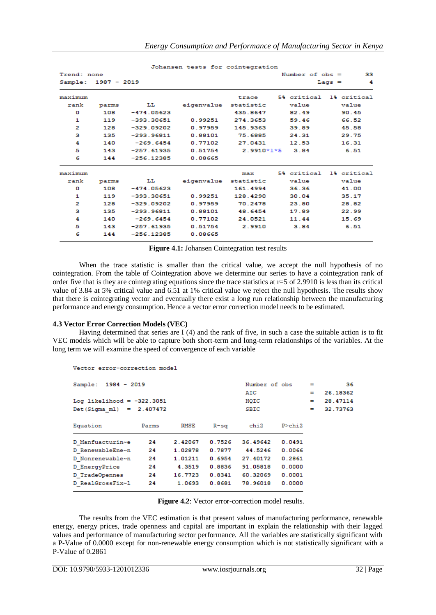|                     |       |              |            | Johansen tests for cointegration |                   |                         |
|---------------------|-------|--------------|------------|----------------------------------|-------------------|-------------------------|
| Trend: none         |       |              |            |                                  | Number of $obs =$ | 33                      |
| Sample: 1987 - 2019 |       |              |            |                                  |                   | 4<br>$Lags =$           |
| maximum             |       |              |            | trace                            |                   | 5% critical 1% critical |
| rank                | parms | LL.          | eigenvalue | statistic                        | value             | value                   |
| o                   | 108   | $-474.05623$ |            | 435.8647                         | 82.49             | 90.45                   |
| 1                   | 119   | $-393.30651$ | 0.99251    | 274.3653                         | 59.46             | 66.52                   |
| 2                   | 128   | $-329.09202$ | 0.97959    | 145.9363                         | 39.89             | 45.58                   |
| з                   | 135   | $-293.96811$ | 0.88101    | 75.6885                          | 24.31             | 29.75                   |
| 4                   | 140   | $-269.6454$  | 0.77102    | 27.0431                          | 12.53             | 16.31                   |
| 5                   | 143   | $-257.61935$ | 0.51754    | $2.9910*1*5$                     | 3.84              | 6.51                    |
| 6                   | 144   | $-256.12385$ | 0.08665    |                                  |                   |                         |
| maximum             |       |              |            | max                              | 5% critical       | 1% critical             |
| rank                | parms | LL           | eigenvalue | statistic                        | value             | value                   |
| 0                   | 108   | $-474.05623$ |            | 161.4994                         | 36.36             | 41.00                   |
| 1                   | 119   | $-393.30651$ | 0.99251    | 128.4290                         | 30.04             | 35.17                   |
| 2                   | 128   | $-329.09202$ | 0.97959    | 70.2478                          | 23.80             | 28.82                   |
| з                   | 135   | $-293.96811$ | 0.88101    | 48.6454                          | 17.89             | 22.99                   |
| 4                   | 140   | $-269.6454$  | 0.77102    | 24.0521                          | 11.44             | 15.69                   |
| 5                   | 143   | $-257.61935$ | 0.51754    | 2.9910                           | 3.84              | 6.51                    |
| 6                   | 144   | $-256.12385$ | 0.08665    |                                  |                   |                         |

**Figure 4.1:** Johansen Cointegration test results

When the trace statistic is smaller than the critical value, we accept the null hypothesis of no cointegration. From the table of Cointegration above we determine our series to have a cointegration rank of order five that is they are cointegrating equations since the trace statistics at r=5 of 2.9910 is less than its critical value of 3.84 at 5% critical value and 6.51 at 1% critical value we reject the null hypothesis. The results show that there is cointegrating vector and eventually there exist a long run relationship between the manufacturing performance and energy consumption. Hence a vector error correction model needs to be estimated.

## **4.3 Vector Error Correction Models (VEC)**

Having determined that series are I (4) and the rank of five, in such a case the suitable action is to fit VEC models which will be able to capture both short-term and long-term relationships of the variables. At the long term we will examine the speed of convergence of each variable

|  |  | Vector error-correction model |  |  |
|--|--|-------------------------------|--|--|
|--|--|-------------------------------|--|--|

| Sample: 1984 - 2019<br>Log likelihood = $-322.3051$<br>$Det(Sigma ml) = 2.407472$ |       |         |        | Number of obs<br>AIC<br>HQIC<br>SBIC |        | =<br>- | 36<br>26.18362<br>28.47114<br>32.73763 |
|-----------------------------------------------------------------------------------|-------|---------|--------|--------------------------------------|--------|--------|----------------------------------------|
| Equation                                                                          | Parms | RMSE    | R-sa   | chi2                                 | P>chi2 |        |                                        |
| D Manfuacturin~e                                                                  | 24    | 2.42067 | 0.7526 | 36.49642                             | 0.0491 |        |                                        |
| D RenewableEne~n                                                                  | 24    | 1.02878 | 0.7877 | 44.5246                              | 0.0066 |        |                                        |
| D Nonrenewable~n                                                                  | 24    | 1.01211 | 0.6954 | 27.40172                             | 0.2861 |        |                                        |
| D EnergyPrice                                                                     | 24    | 4.3519  | 0.8836 | 91.05818                             | 0.0000 |        |                                        |
| D TradeOpennes                                                                    | 24    | 16.7723 | 0.8341 | 60.32069                             | 0.0001 |        |                                        |
| D RealGrossFix~1                                                                  | 24    | 1.0693  | 0.8681 | 78.96018                             | 0.0000 |        |                                        |

**Figure 4.2**: Vector error-correction model results.

The results from the VEC estimation is that present values of manufacturing performance, renewable energy, energy prices, trade openness and capital are important in explain the relationship with their lagged values and performance of manufacturing sector performance. All the variables are statistically significant with a P-Value of 0.0000 except for non-renewable energy consumption which is not statistically significant with a P-Value of 0.2861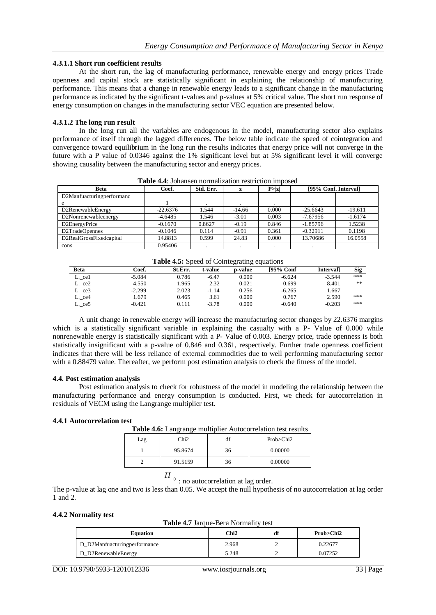# **4.3.1.1 Short run coefficient results**

At the short run, the lag of manufacturing performance, renewable energy and energy prices Trade openness and capital stock are statistically significant in explaining the relationship of manufacturing performance. This means that a change in renewable energy leads to a significant change in the manufacturing performance as indicated by the significant t-values and p-values at 5% critical value. The short run response of energy consumption on changes in the manufacturing sector VEC equation are presented below.

# **4.3.1.2 The long run result**

In the long run all the variables are endogenous in the model, manufacturing sector also explains performance of itself through the lagged differences. The below table indicate the speed of cointegration and convergence toward equilibrium in the long run the results indicates that energy price will not converge in the future with a P value of 0.0346 against the 1% significant level but at 5% significant level it will converge showing causality between the manufacturing sector and energy prices.

| TWAR III RAHMINGI HAMIKUMINGI TAMITANGI HIINANGA |            |           |          |        |                      |           |  |  |
|--------------------------------------------------|------------|-----------|----------|--------|----------------------|-----------|--|--|
| <b>Beta</b>                                      | Coef.      | Std. Err. | z        | P >  z | [95% Conf. Interval] |           |  |  |
| D2Manfuacturingperformanc                        |            |           |          |        |                      |           |  |  |
|                                                  |            |           |          |        |                      |           |  |  |
| D2RenewableEnergy                                | $-22.6376$ | 1.544     | $-14.66$ | 0.000  | $-25.6643$           | $-19.611$ |  |  |
| D2Nonrenewableenergy                             | $-4.6485$  | 1.546     | $-3.01$  | 0.003  | $-7.67956$           | $-1.6174$ |  |  |
| D2EnergyPrice                                    | $-0.1670$  | 0.8627    | $-0.19$  | 0.846  | $-1.85796$           | 1.5238    |  |  |
| D2TradeOpennes                                   | $-0.1046$  | 0.114     | $-0.91$  | 0.361  | $-0.32911$           | 0.1198    |  |  |
| D2RealGrossFixedcapital                          | 14.8813    | 0.599     | 24.83    | 0.000  | 13.70686             | 16.0558   |  |  |
| cons                                             | 0.95406    |           |          |        |                      |           |  |  |

**Table 4.4**: Johansen normalization restriction imposed

|        | <b>THERE</b> $\frac{1}{2}$ is a proceed of controller equal constants |         |         |         |           |                  |      |  |  |  |
|--------|-----------------------------------------------------------------------|---------|---------|---------|-----------|------------------|------|--|--|--|
| Beta   | Coef.                                                                 | St.Err. | t-value | p-value | 195% Conf | <b>Intervall</b> | Sig  |  |  |  |
| L. cel | $-5.084$                                                              | 0.786   | $-6.47$ | 0.000   | $-6.624$  | $-3.544$         | ***  |  |  |  |
| L. ce2 | 4.550                                                                 | 1.965   | 2.32    | 0.021   | 0.699     | 8.401            | $**$ |  |  |  |
| L. ce3 | $-2.299$                                                              | 2.023   | $-1.14$ | 0.256   | $-6.265$  | 1.667            |      |  |  |  |
| L. ce4 | .679                                                                  | 0.465   | 3.61    | 0.000   | 0.767     | 2.590            | ***  |  |  |  |
| L. ce5 | $-0.421$                                                              | 0.111   | $-3.78$ | 0.000   | $-0.640$  | $-0.203$         | ***  |  |  |  |

A unit change in renewable energy will increase the manufacturing sector changes by 22.6376 margins which is a statistically significant variable in explaining the casualty with a P- Value of 0.000 while nonrenewable energy is statistically significant with a P- Value of 0.003. Energy price, trade openness is both statistically insignificant with a p-value of 0.846 and 0.361, respectively. Further trade openness coefficient indicates that there will be less reliance of external commodities due to well performing manufacturing sector with a 0.88479 value. Thereafter, we perform post estimation analysis to check the fitness of the model.

## **4.4. Post estimation analysis**

Post estimation analysis to check for robustness of the model in modeling the relationship between the manufacturing performance and energy consumption is conducted. First, we check for autocorrelation in residuals of VECM using the Langrange multiplier test.

# **4.4.1 Autocorrelation test**

**Table 4.6:** Langrange multiplier Autocorrelation test results

| Lag | Chi2    | αI | Prob > Chi2 |
|-----|---------|----|-------------|
|     | 95.8674 | 36 | 0.00000     |
|     | 91.5159 | 36 | 0.00000     |

 $H_{\scriptscriptstyle\ 0}$ : no autocorrelation at lag order.

The p-value at lag one and two is less than 0.05. We accept the null hypothesis of no autocorrelation at lag order 1 and 2.

## **4.4.2 Normality test**

| <b>Table 4.</b> Jailue-Dela Politianty lest |       |    |           |  |  |  |
|---------------------------------------------|-------|----|-----------|--|--|--|
| <b>Equation</b>                             | Chi2  | df | Prob>Chi2 |  |  |  |
| D D2Manfuacturingperformance                | 2.968 |    | 0.22677   |  |  |  |
| D D2RenewableEnergy                         | 5.248 |    | 0.07252   |  |  |  |

**Table 4.7** Jarque-Bera Normality test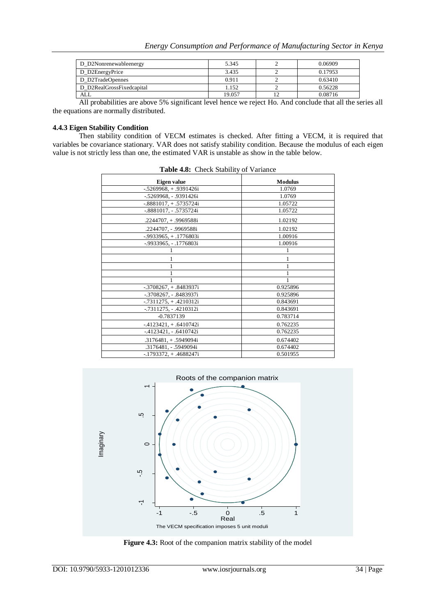| D_D2Nonrenewableenergy    | 5.345  | 0.06909 |
|---------------------------|--------|---------|
| D_D2EnergyPrice           | 3.435  | 0.17953 |
| D D2TradeOpennes          | 0.911  | 0.63410 |
| D D2RealGrossFixedcapital | 1.152  | 0.56228 |
| ALL                       | 19.057 | 0.08716 |

All probabilities are above 5% significant level hence we reject Ho. And conclude that all the series all the equations are normally distributed.

# **4.4.3 Eigen Stability Condition**

Then stability condition of VECM estimates is checked. After fitting a VECM, it is required that variables be covariance stationary. VAR does not satisfy stability condition. Because the modulus of each eigen value is not strictly less than one, the estimated VAR is unstable as show in the table below.

| Eigen value                   | <b>Modulus</b> |  |  |
|-------------------------------|----------------|--|--|
| $-5269968 + 9391426$ i        | 1.0769         |  |  |
| -.5269968, - .9391426i        | 1.0769         |  |  |
| $-0.8881017$ , $+0.5735724$ i | 1.05722        |  |  |
| $-.8881017, -.5735724i$       | 1.05722        |  |  |
| .2244707, + .9969588i         | 1.02192        |  |  |
| .2244707, - .9969588i         | 1.02192        |  |  |
| $-9933965$ , $+ .1776803$ i   | 1.00916        |  |  |
| -.9933965, - .1776803i        | 1.00916        |  |  |
|                               |                |  |  |
|                               |                |  |  |
|                               |                |  |  |
|                               |                |  |  |
|                               |                |  |  |
| $-.3708267, + .8483937i$      | 0.925896       |  |  |
| -.3708267, - .8483937i        | 0.925896       |  |  |
| $-7311275$ , $+ .4210312i$    | 0.843691       |  |  |
| -.7311275, - .4210312i        | 0.843691       |  |  |
| $-0.7837139$                  | 0.783714       |  |  |
| $-4123421 + 0.6410742i$       | 0.762235       |  |  |
| -.4123421, - .6410742i        | 0.762235       |  |  |
| $.3176481,+.5949094i$         | 0.674402       |  |  |
| .3176481, - .5949094i         | 0.674402       |  |  |
| $-1793372$ , $+ .4688247$ i   | 0.501955       |  |  |

**Table 4.8:** Check Stability of Variance



Figure 4.3: Root of the companion matrix stability of the model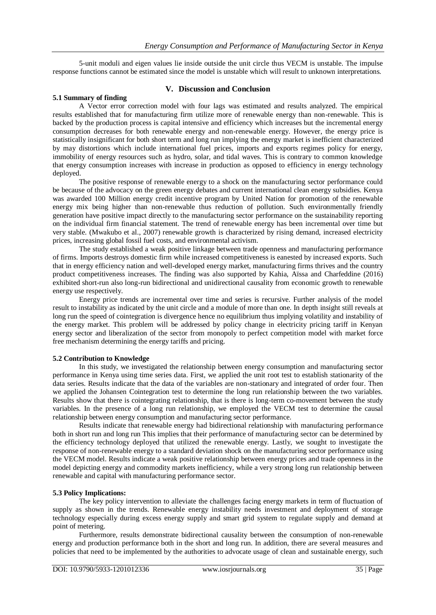5-unit moduli and eigen values lie inside outside the unit circle thus VECM is unstable. The impulse response functions cannot be estimated since the model is unstable which will result to unknown interpretations.

# **V. Discussion and Conclusion**

### **5.1 Summary of finding**

A Vector error correction model with four lags was estimated and results analyzed. The empirical results established that for manufacturing firm utilize more of renewable energy than non-renewable. This is backed by the production process is capital intensive and efficiency which increases but the incremental energy consumption decreases for both renewable energy and non-renewable energy. However, the energy price is statistically insignificant for both short term and long run implying the energy market is inefficient characterized by may distortions which include international fuel prices, imports and exports regimes policy for energy, immobility of energy resources such as hydro, solar, and tidal waves. This is contrary to common knowledge that energy consumption increases with increase in production as opposed to efficiency in energy technology deployed.

The positive response of renewable energy to a shock on the manufacturing sector performance could be because of the advocacy on the green energy debates and current international clean energy subsidies. Kenya was awarded 100 Million energy credit incentive program by United Nation for promotion of the renewable energy mix being higher than non-renewable thus reduction of pollution. Such environmentally friendly generation have positive impact directly to the manufacturing sector performance on the sustainability reporting on the individual firm financial statement. The trend of renewable energy has been incremental over time but very stable. (Mwakubo et al., 2007) renewable growth is characterized by rising demand, increased electricity prices, increasing global fossil fuel costs, and environmental activism.

The study established a weak positive linkage between trade openness and manufacturing performance of firms. Imports destroys domestic firm while increased competitiveness is eanested by increased exports. Such that in energy efficiency nation and well-developed energy market, manufacturing firms thrives and the country product competitiveness increases. The finding was also supported by Kahia, Aïssa and Charfeddine (2016) exhibited short-run also long-run bidirectional and unidirectional causality from economic growth to renewable energy use respectively.

Energy price trends are incremental over time and series is recursive. Further analysis of the model result to instability as indicated by the unit circle and a module of more than one. In depth insight still reveals at long run the speed of cointegration is divergence hence no equilibrium thus implying volatility and instability of the energy market. This problem will be addressed by policy change in electricity pricing tariff in Kenyan energy sector and liberalization of the sector from monopoly to perfect competition model with market force free mechanism determining the energy tariffs and pricing.

## **5.2 Contribution to Knowledge**

In this study, we investigated the relationship between energy consumption and manufacturing sector performance in Kenya using time series data. First, we applied the unit root test to establish stationarity of the data series. Results indicate that the data of the variables are non-stationary and integrated of order four. Then we applied the Johansen Cointegration test to determine the long run relationship between the two variables. Results show that there is cointegrating relationship, that is there is long-term co-movement between the study variables. In the presence of a long run relationship, we employed the VECM test to determine the causal relationship between energy consumption and manufacturing sector performance.

Results indicate that renewable energy had bidirectional relationship with manufacturing performance both in short run and long run This implies that their performance of manufacturing sector can be determined by the efficiency technology deployed that utilized the renewable energy. Lastly, we sought to investigate the response of non-renewable energy to a standard deviation shock on the manufacturing sector performance using the VECM model. Results indicate a weak positive relationship between energy prices and trade openness in the model depicting energy and commodity markets inefficiency, while a very strong long run relationship between renewable and capital with manufacturing performance sector.

# **5.3 Policy Implications:**

The key policy intervention to alleviate the challenges facing energy markets in term of fluctuation of supply as shown in the trends. Renewable energy instability needs investment and deployment of storage technology especially during excess energy supply and smart grid system to regulate supply and demand at point of metering.

Furthermore, results demonstrate bidirectional causality between the consumption of non-renewable energy and production performance both in the short and long run. In addition, there are several measures and policies that need to be implemented by the authorities to advocate usage of clean and sustainable energy, such